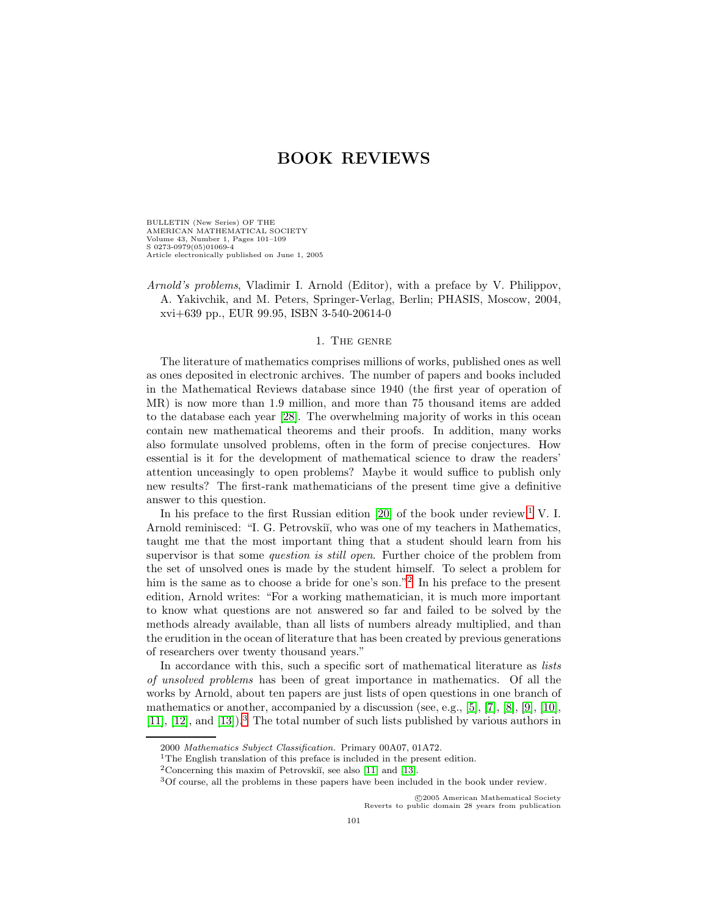BULLETIN (New Series) OF THE AMERICAN MATHEMATICAL SOCIETY Volume 43, Number 1, Pages 101–109 S 0273-0979(05)01069-4 Article electronically published on June 1, 2005

Arnold's problems, Vladimir I. Arnold (Editor), with a preface by V. Philippov, A. Yakivchik, and M. Peters, Springer-Verlag, Berlin; PHASIS, Moscow, 2004, xvi+639 pp., EUR 99.95, ISBN 3-540-20614-0

## 1. The genre

The literature of mathematics comprises millions of works, published ones as well as ones deposited in electronic archives. The number of papers and books included in the Mathematical Reviews database since 1940 (the first year of operation of MR) is now more than 1.9 million, and more than 75 thousand items are added to the database each year [\[28\]](#page-7-0). The overwhelming majority of works in this ocean contain new mathematical theorems and their proofs. In addition, many works also formulate unsolved problems, often in the form of precise conjectures. How essential is it for the development of mathematical science to draw the readers' attention unceasingly to open problems? Maybe it would suffice to publish only new results? The first-rank mathematicians of the present time give a definitive answer to this question.

In his preface to the first Russian edition [\[20\]](#page-7-1) of the book under review,  $\frac{1}{1}$  $\frac{1}{1}$  $\frac{1}{1}$  V. I. Arnold reminisced: "I. G. Petrovskiı̆, who was one of my teachers in Mathematics, taught me that the most important thing that a student should learn from his supervisor is that some *question is still open*. Further choice of the problem from the set of unsolved ones is made by the student himself. To select a problem for him is the same as to choose a bride for one's son."<sup>[2](#page-0-1)</sup> In his preface to the present edition, Arnold writes: "For a working mathematician, it is much more important to know what questions are not answered so far and failed to be solved by the methods already available, than all lists of numbers already multiplied, and than the erudition in the ocean of literature that has been created by previous generations of researchers over twenty thousand years."

In accordance with this, such a specific sort of mathematical literature as *lists* of unsolved problems has been of great importance in mathematics. Of all the works by Arnold, about ten papers are just lists of open questions in one branch of mathematics or another, accompanied by a discussion (see, e.g., [\[5\]](#page-6-0), [\[7\]](#page-6-1), [\[8\]](#page-6-2), [\[9\]](#page-6-3), [\[10\]](#page-6-4), [\[11\]](#page-6-5), [\[12\]](#page-6-6), and [\[13\]](#page-6-7)).[3](#page-0-2) The total number of such lists published by various authors in

c 2005 American Mathematical Society Reverts to public domain 28 years from publication

<sup>2000</sup> Mathematics Subject Classification. Primary 00A07, 01A72.

<sup>&</sup>lt;sup>1</sup>The English translation of this preface is included in the present edition.

<span id="page-0-0"></span><sup>&</sup>lt;sup>2</sup>Concerning this maxim of Petrovskii, see also [\[11\]](#page-6-5) and [\[13\]](#page-6-7).

<span id="page-0-2"></span><span id="page-0-1"></span><sup>3</sup>Of course, all the problems in these papers have been included in the book under review.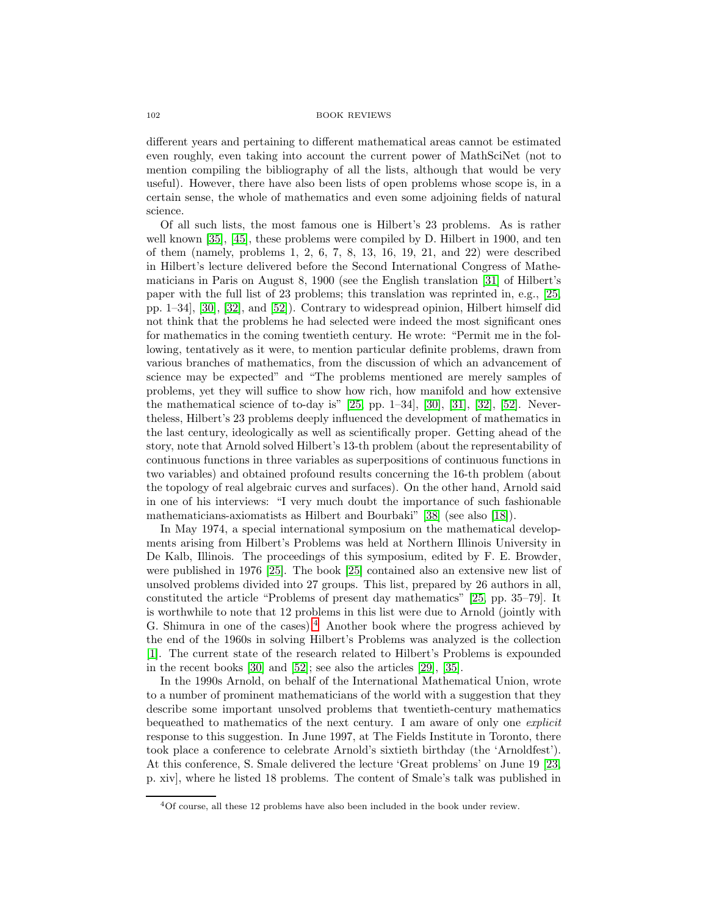different years and pertaining to different mathematical areas cannot be estimated even roughly, even taking into account the current power of MathSciNet (not to mention compiling the bibliography of all the lists, although that would be very useful). However, there have also been lists of open problems whose scope is, in a certain sense, the whole of mathematics and even some adjoining fields of natural science.

Of all such lists, the most famous one is Hilbert's 23 problems. As is rather well known [\[35\]](#page-7-2), [\[45\]](#page-8-0), these problems were compiled by D. Hilbert in 1900, and ten of them (namely, problems 1, 2, 6, 7, 8, 13, 16, 19, 21, and 22) were described in Hilbert's lecture delivered before the Second International Congress of Mathematicians in Paris on August 8, 1900 (see the English translation [\[31\]](#page-7-3) of Hilbert's paper with the full list of 23 problems; this translation was reprinted in, e.g., [\[25,](#page-7-4) pp. 1–34], [\[30\]](#page-7-5), [\[32\]](#page-7-6), and [\[52\]](#page-8-1)). Contrary to widespread opinion, Hilbert himself did not think that the problems he had selected were indeed the most significant ones for mathematics in the coming twentieth century. He wrote: "Permit me in the following, tentatively as it were, to mention particular definite problems, drawn from various branches of mathematics, from the discussion of which an advancement of science may be expected" and "The problems mentioned are merely samples of problems, yet they will suffice to show how rich, how manifold and how extensive the mathematical science of to-day is"  $[25, pp. 1–34]$  $[25, pp. 1–34]$ ,  $[30]$ ,  $[31]$ ,  $[32]$ ,  $[52]$ . Nevertheless, Hilbert's 23 problems deeply influenced the development of mathematics in the last century, ideologically as well as scientifically proper. Getting ahead of the story, note that Arnold solved Hilbert's 13-th problem (about the representability of continuous functions in three variables as superpositions of continuous functions in two variables) and obtained profound results concerning the 16-th problem (about the topology of real algebraic curves and surfaces). On the other hand, Arnold said in one of his interviews: "I very much doubt the importance of such fashionable mathematicians-axiomatists as Hilbert and Bourbaki" [\[38\]](#page-7-7) (see also [\[18\]](#page-7-8)).

In May 1974, a special international symposium on the mathematical developments arising from Hilbert's Problems was held at Northern Illinois University in De Kalb, Illinois. The proceedings of this symposium, edited by F. E. Browder, were published in 1976 [\[25\]](#page-7-4). The book [\[25\]](#page-7-4) contained also an extensive new list of unsolved problems divided into 27 groups. This list, prepared by 26 authors in all, constituted the article "Problems of present day mathematics" [\[25,](#page-7-4) pp. 35–79]. It is worthwhile to note that 12 problems in this list were due to Arnold (jointly with G. Shimura in one of the cases).<sup>[4](#page-1-0)</sup> Another book where the progress achieved by the end of the 1960s in solving Hilbert's Problems was analyzed is the collection [\[1\]](#page-6-8). The current state of the research related to Hilbert's Problems is expounded in the recent books [\[30\]](#page-7-5) and [\[52\]](#page-8-1); see also the articles [\[29\]](#page-7-9), [\[35\]](#page-7-2).

In the 1990s Arnold, on behalf of the International Mathematical Union, wrote to a number of prominent mathematicians of the world with a suggestion that they describe some important unsolved problems that twentieth-century mathematics bequeathed to mathematics of the next century. I am aware of only one explicit response to this suggestion. In June 1997, at The Fields Institute in Toronto, there took place a conference to celebrate Arnold's sixtieth birthday (the 'Arnoldfest'). At this conference, S. Smale delivered the lecture 'Great problems' on June 19 [\[23,](#page-7-10) p. xiv], where he listed 18 problems. The content of Smale's talk was published in

<span id="page-1-0"></span><sup>4</sup>Of course, all these 12 problems have also been included in the book under review.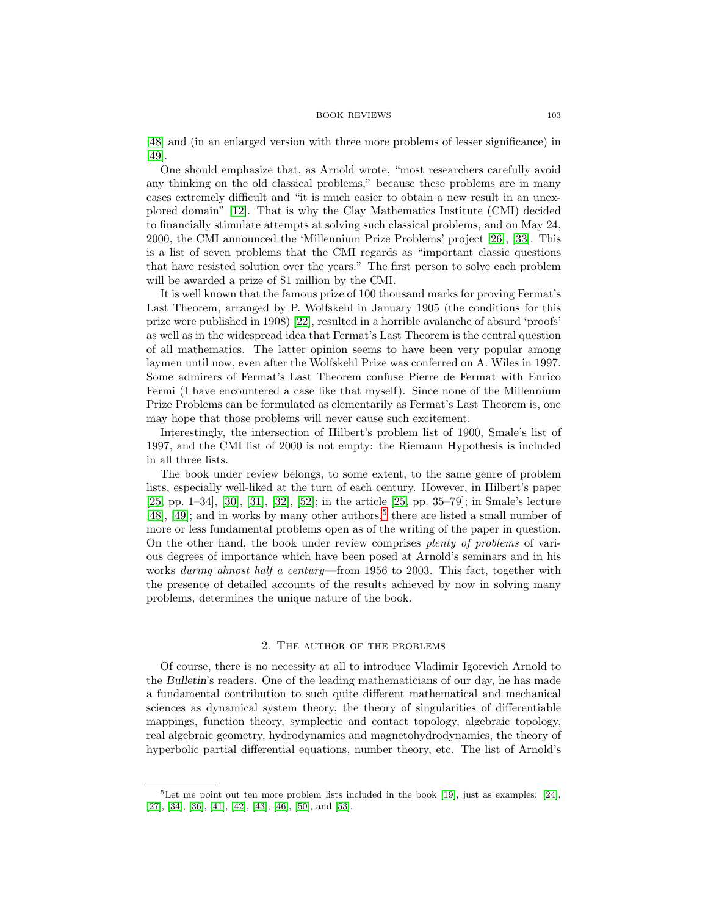[\[48\]](#page-8-2) and (in an enlarged version with three more problems of lesser significance) in [\[49\]](#page-8-3).

One should emphasize that, as Arnold wrote, "most researchers carefully avoid any thinking on the old classical problems," because these problems are in many cases extremely difficult and "it is much easier to obtain a new result in an unexplored domain" [\[12\]](#page-6-6). That is why the Clay Mathematics Institute (CMI) decided to financially stimulate attempts at solving such classical problems, and on May 24, 2000, the CMI announced the 'Millennium Prize Problems' project [\[26\]](#page-7-11), [\[33\]](#page-7-12). This is a list of seven problems that the CMI regards as "important classic questions that have resisted solution over the years." The first person to solve each problem will be awarded a prize of \$1 million by the CMI.

It is well known that the famous prize of 100 thousand marks for proving Fermat's Last Theorem, arranged by P. Wolfskehl in January 1905 (the conditions for this prize were published in 1908) [\[22\]](#page-7-13), resulted in a horrible avalanche of absurd 'proofs' as well as in the widespread idea that Fermat's Last Theorem is the central question of all mathematics. The latter opinion seems to have been very popular among laymen until now, even after the Wolfskehl Prize was conferred on A. Wiles in 1997. Some admirers of Fermat's Last Theorem confuse Pierre de Fermat with Enrico Fermi (I have encountered a case like that myself). Since none of the Millennium Prize Problems can be formulated as elementarily as Fermat's Last Theorem is, one may hope that those problems will never cause such excitement.

Interestingly, the intersection of Hilbert's problem list of 1900, Smale's list of 1997, and the CMI list of 2000 is not empty: the Riemann Hypothesis is included in all three lists.

The book under review belongs, to some extent, to the same genre of problem lists, especially well-liked at the turn of each century. However, in Hilbert's paper [\[25,](#page-7-4) pp. 1–34], [\[30\]](#page-7-5), [\[31\]](#page-7-3), [\[32\]](#page-7-6), [\[52\]](#page-8-1); in the article [\[25,](#page-7-4) pp. 35–79]; in Smale's lecture [\[48\]](#page-8-2), [\[49\]](#page-8-3); and in works by many other authors,<sup>[5](#page-2-0)</sup> there are listed a small number of more or less fundamental problems open as of the writing of the paper in question. On the other hand, the book under review comprises plenty of problems of various degrees of importance which have been posed at Arnold's seminars and in his works during almost half a century—from 1956 to 2003. This fact, together with the presence of detailed accounts of the results achieved by now in solving many problems, determines the unique nature of the book.

#### 2. The author of the problems

Of course, there is no necessity at all to introduce Vladimir Igorevich Arnold to the *Bulletin*'s readers. One of the leading mathematicians of our day, he has made a fundamental contribution to such quite different mathematical and mechanical sciences as dynamical system theory, the theory of singularities of differentiable mappings, function theory, symplectic and contact topology, algebraic topology, real algebraic geometry, hydrodynamics and magnetohydrodynamics, the theory of hyperbolic partial differential equations, number theory, etc. The list of Arnold's

<span id="page-2-0"></span> $5$ Let me point out ten more problem lists included in the book [\[19\]](#page-7-14), just as examples: [\[24\]](#page-7-15), [\[27\]](#page-7-16), [\[34\]](#page-7-17), [\[36\]](#page-7-18), [\[41\]](#page-7-19), [\[42\]](#page-8-4), [\[43\]](#page-8-5), [\[46\]](#page-8-6), [\[50\]](#page-8-7), and [\[53\]](#page-8-8).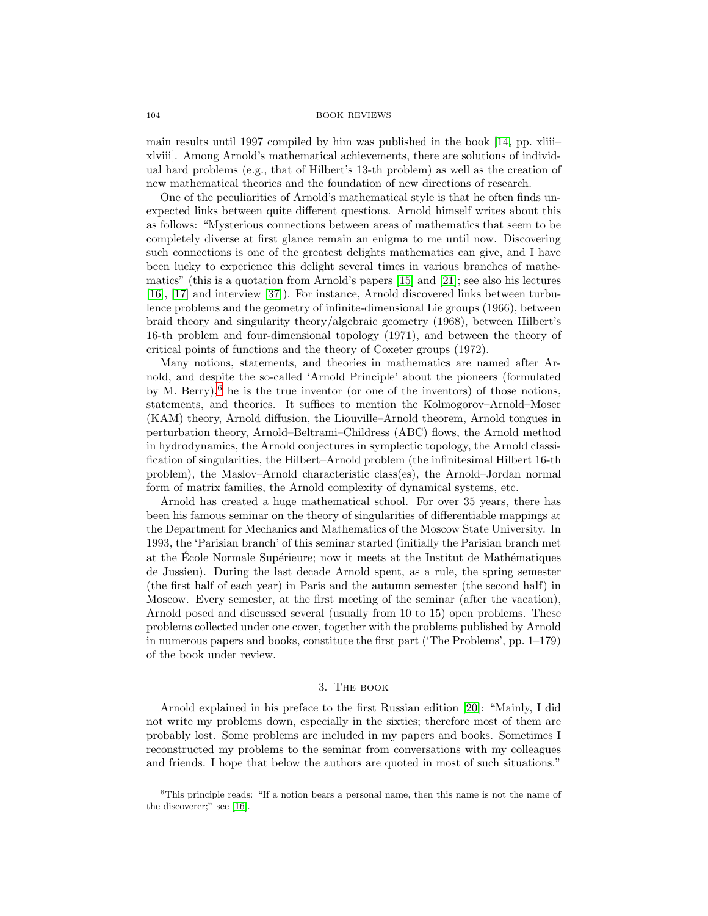main results until 1997 compiled by him was published in the book [\[14,](#page-6-9) pp. xliii– xlviii]. Among Arnold's mathematical achievements, there are solutions of individual hard problems (e.g., that of Hilbert's 13-th problem) as well as the creation of new mathematical theories and the foundation of new directions of research.

One of the peculiarities of Arnold's mathematical style is that he often finds unexpected links between quite different questions. Arnold himself writes about this as follows: "Mysterious connections between areas of mathematics that seem to be completely diverse at first glance remain an enigma to me until now. Discovering such connections is one of the greatest delights mathematics can give, and I have been lucky to experience this delight several times in various branches of mathematics" (this is a quotation from Arnold's papers [\[15\]](#page-6-10) and [\[21\]](#page-7-20); see also his lectures [\[16\]](#page-7-21), [\[17\]](#page-7-22) and interview [\[37\]](#page-7-23)). For instance, Arnold discovered links between turbulence problems and the geometry of infinite-dimensional Lie groups (1966), between braid theory and singularity theory/algebraic geometry (1968), between Hilbert's 16-th problem and four-dimensional topology (1971), and between the theory of critical points of functions and the theory of Coxeter groups (1972).

Many notions, statements, and theories in mathematics are named after Arnold, and despite the so-called 'Arnold Principle' about the pioneers (formulated by M. Berry), $^6$  $^6$  he is the true inventor (or one of the inventors) of those notions, statements, and theories. It suffices to mention the Kolmogorov–Arnold–Moser (KAM) theory, Arnold diffusion, the Liouville–Arnold theorem, Arnold tongues in perturbation theory, Arnold–Beltrami–Childress (ABC) flows, the Arnold method in hydrodynamics, the Arnold conjectures in symplectic topology, the Arnold classification of singularities, the Hilbert–Arnold problem (the infinitesimal Hilbert 16-th problem), the Maslov–Arnold characteristic class(es), the Arnold–Jordan normal form of matrix families, the Arnold complexity of dynamical systems, etc.

Arnold has created a huge mathematical school. For over 35 years, there has been his famous seminar on the theory of singularities of differentiable mappings at the Department for Mechanics and Mathematics of the Moscow State University. In 1993, the 'Parisian branch' of this seminar started (initially the Parisian branch met at the Ecole Normale Supérieure; now it meets at the Institut de Mathématiques de Jussieu). During the last decade Arnold spent, as a rule, the spring semester (the first half of each year) in Paris and the autumn semester (the second half) in Moscow. Every semester, at the first meeting of the seminar (after the vacation), Arnold posed and discussed several (usually from 10 to 15) open problems. These problems collected under one cover, together with the problems published by Arnold in numerous papers and books, constitute the first part ('The Problems', pp. 1–179) of the book under review.

## 3. The book

Arnold explained in his preface to the first Russian edition [\[20\]](#page-7-1): "Mainly, I did not write my problems down, especially in the sixties; therefore most of them are probably lost. Some problems are included in my papers and books. Sometimes I reconstructed my problems to the seminar from conversations with my colleagues and friends. I hope that below the authors are quoted in most of such situations."

<span id="page-3-0"></span><sup>&</sup>lt;sup>6</sup>This principle reads: "If a notion bears a personal name, then this name is not the name of the discoverer;" see [\[16\]](#page-7-21).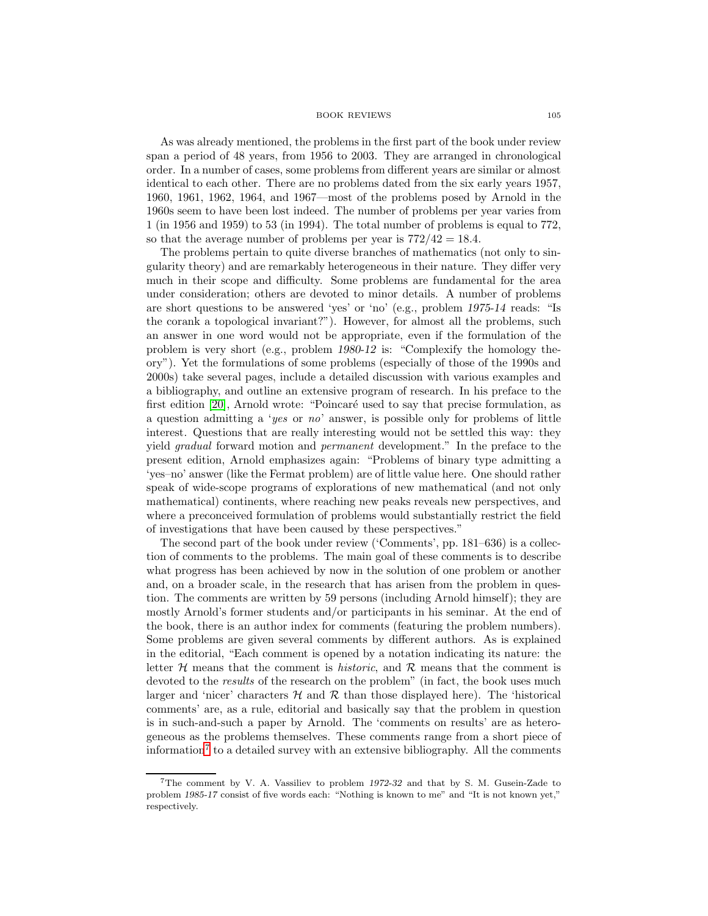As was already mentioned, the problems in the first part of the book under review span a period of 48 years, from 1956 to 2003. They are arranged in chronological order. In a number of cases, some problems from different years are similar or almost identical to each other. There are no problems dated from the six early years 1957, 1960, 1961, 1962, 1964, and 1967—most of the problems posed by Arnold in the 1960s seem to have been lost indeed. The number of problems per year varies from 1 (in 1956 and 1959) to 53 (in 1994). The total number of problems is equal to 772, so that the average number of problems per year is  $772/42 = 18.4$ .

The problems pertain to quite diverse branches of mathematics (not only to singularity theory) and are remarkably heterogeneous in their nature. They differ very much in their scope and difficulty. Some problems are fundamental for the area under consideration; others are devoted to minor details. A number of problems are short questions to be answered 'yes' or 'no' (e.g., problem *1975-14* reads: "Is the corank a topological invariant?"). However, for almost all the problems, such an answer in one word would not be appropriate, even if the formulation of the problem is very short (e.g., problem *1980-12* is: "Complexify the homology theory"). Yet the formulations of some problems (especially of those of the 1990s and 2000s) take several pages, include a detailed discussion with various examples and a bibliography, and outline an extensive program of research. In his preface to the first edition  $[20]$ , Arnold wrote: "Poincaré used to say that precise formulation, as a question admitting a 'yes or no' answer, is possible only for problems of little interest. Questions that are really interesting would not be settled this way: they yield gradual forward motion and permanent development." In the preface to the present edition, Arnold emphasizes again: "Problems of binary type admitting a 'yes–no' answer (like the Fermat problem) are of little value here. One should rather speak of wide-scope programs of explorations of new mathematical (and not only mathematical) continents, where reaching new peaks reveals new perspectives, and where a preconceived formulation of problems would substantially restrict the field of investigations that have been caused by these perspectives."

The second part of the book under review ('Comments', pp. 181–636) is a collection of comments to the problems. The main goal of these comments is to describe what progress has been achieved by now in the solution of one problem or another and, on a broader scale, in the research that has arisen from the problem in question. The comments are written by 59 persons (including Arnold himself); they are mostly Arnold's former students and/or participants in his seminar. At the end of the book, there is an author index for comments (featuring the problem numbers). Some problems are given several comments by different authors. As is explained in the editorial, "Each comment is opened by a notation indicating its nature: the letter  $H$  means that the comment is *historic*, and  $R$  means that the comment is devoted to the *results* of the research on the problem" (in fact, the book uses much larger and 'nicer' characters  $H$  and  $R$  than those displayed here). The 'historical comments' are, as a rule, editorial and basically say that the problem in question is in such-and-such a paper by Arnold. The 'comments on results' are as heterogeneous as the problems themselves. These comments range from a short piece of information<sup>[7](#page-4-0)</sup> to a detailed survey with an extensive bibliography. All the comments

<span id="page-4-0"></span><sup>7</sup>The comment by V. A. Vassiliev to problem *1972-32* and that by S. M. Gusein-Zade to problem *1985-17* consist of five words each: "Nothing is known to me" and "It is not known yet," respectively.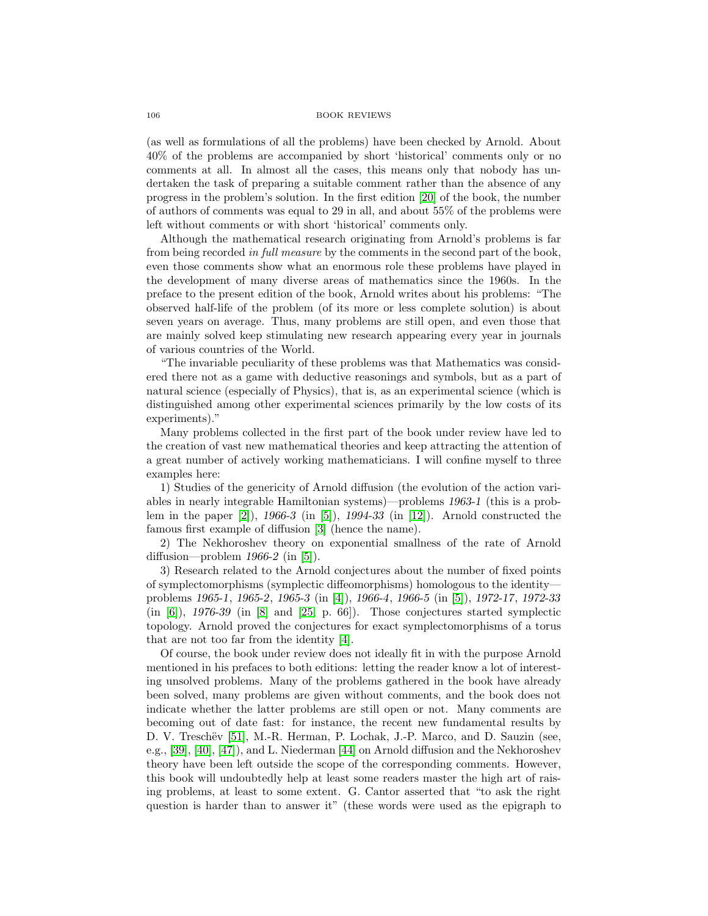(as well as formulations of all the problems) have been checked by Arnold. About 40% of the problems are accompanied by short 'historical' comments only or no comments at all. In almost all the cases, this means only that nobody has undertaken the task of preparing a suitable comment rather than the absence of any progress in the problem's solution. In the first edition [\[20\]](#page-7-1) of the book, the number of authors of comments was equal to 29 in all, and about 55% of the problems were left without comments or with short 'historical' comments only.

Although the mathematical research originating from Arnold's problems is far from being recorded in full measure by the comments in the second part of the book, even those comments show what an enormous role these problems have played in the development of many diverse areas of mathematics since the 1960s. In the preface to the present edition of the book, Arnold writes about his problems: "The observed half-life of the problem (of its more or less complete solution) is about seven years on average. Thus, many problems are still open, and even those that are mainly solved keep stimulating new research appearing every year in journals of various countries of the World.

"The invariable peculiarity of these problems was that Mathematics was considered there not as a game with deductive reasonings and symbols, but as a part of natural science (especially of Physics), that is, as an experimental science (which is distinguished among other experimental sciences primarily by the low costs of its experiments)."

Many problems collected in the first part of the book under review have led to the creation of vast new mathematical theories and keep attracting the attention of a great number of actively working mathematicians. I will confine myself to three examples here:

1) Studies of the genericity of Arnold diffusion (the evolution of the action variables in nearly integrable Hamiltonian systems)—problems *1963-1* (this is a problem in the paper [\[2\]](#page-6-11)), *1966-3* (in [\[5\]](#page-6-0)), *1994-33* (in [\[12\]](#page-6-6)). Arnold constructed the famous first example of diffusion [\[3\]](#page-6-12) (hence the name).

2) The Nekhoroshev theory on exponential smallness of the rate of Arnold diffusion—problem *1966-2* (in [\[5\]](#page-6-0)).

3) Research related to the Arnold conjectures about the number of fixed points of symplectomorphisms (symplectic diffeomorphisms) homologous to the identity problems *1965-1*, *1965-2*, *1965-3* (in [\[4\]](#page-6-13)), *1966-4*, *1966-5* (in [\[5\]](#page-6-0)), *1972-17*, *1972-33* (in [\[6\]](#page-6-14)), *1976-39* (in [\[8\]](#page-6-2) and [\[25,](#page-7-4) p. 66]). Those conjectures started symplectic topology. Arnold proved the conjectures for exact symplectomorphisms of a torus that are not too far from the identity [\[4\]](#page-6-13).

Of course, the book under review does not ideally fit in with the purpose Arnold mentioned in his prefaces to both editions: letting the reader know a lot of interesting unsolved problems. Many of the problems gathered in the book have already been solved, many problems are given without comments, and the book does not indicate whether the latter problems are still open or not. Many comments are becoming out of date fast: for instance, the recent new fundamental results by D. V. Treschëv [\[51\]](#page-8-9), M.-R. Herman, P. Lochak, J.-P. Marco, and D. Sauzin (see, e.g., [\[39\]](#page-7-24), [\[40\]](#page-7-25), [\[47\]](#page-8-10)), and L. Niederman [\[44\]](#page-8-11) on Arnold diffusion and the Nekhoroshev theory have been left outside the scope of the corresponding comments. However, this book will undoubtedly help at least some readers master the high art of raising problems, at least to some extent. G. Cantor asserted that "to ask the right question is harder than to answer it" (these words were used as the epigraph to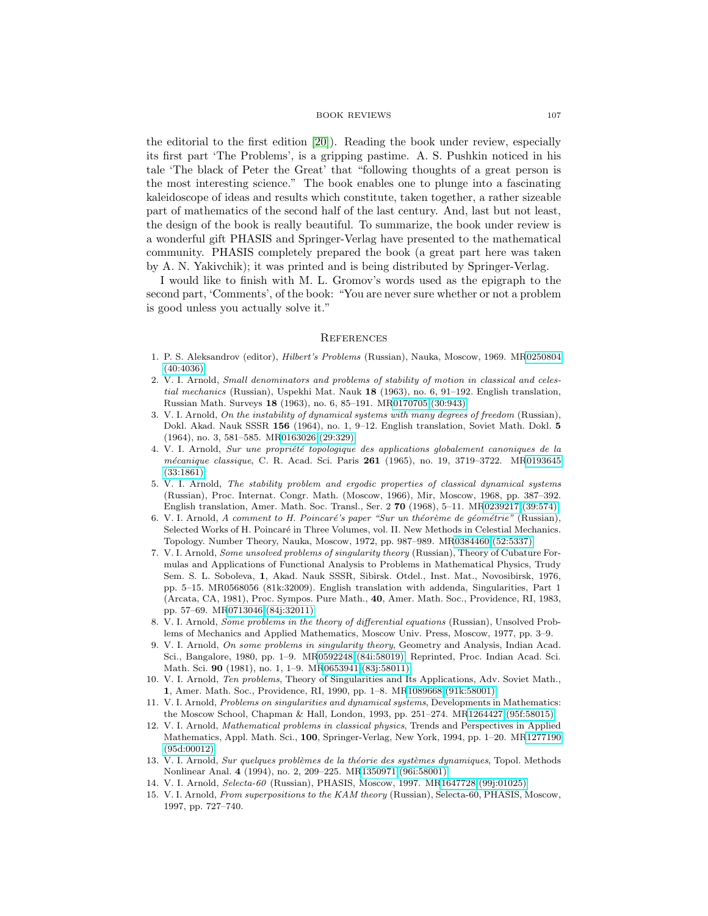the editorial to the first edition [\[20\]](#page-7-1)). Reading the book under review, especially its first part 'The Problems', is a gripping pastime. A. S. Pushkin noticed in his tale 'The black of Peter the Great' that "following thoughts of a great person is the most interesting science." The book enables one to plunge into a fascinating kaleidoscope of ideas and results which constitute, taken together, a rather sizeable part of mathematics of the second half of the last century. And, last but not least, the design of the book is really beautiful. To summarize, the book under review is a wonderful gift PHASIS and Springer-Verlag have presented to the mathematical community. PHASIS completely prepared the book (a great part here was taken by A. N. Yakivchik); it was printed and is being distributed by Springer-Verlag.

I would like to finish with M. L. Gromov's words used as the epigraph to the second part, 'Comments', of the book: "You are never sure whether or not a problem is good unless you actually solve it."

### **REFERENCES**

- <span id="page-6-8"></span>1. P. S. Aleksandrov (editor), Hilbert's Problems (Russian), Nauka, Moscow, 1969. M[R0250804](http://www.ams.org/mathscinet-getitem?mr=0250804) [\(40:4036\)](http://www.ams.org/mathscinet-getitem?mr=0250804)
- <span id="page-6-11"></span>2. V. I. Arnold, Small denominators and problems of stability of motion in classical and celestial mechanics (Russian), Uspekhi Mat. Nauk **18** (1963), no. 6, 91–192. English translation, Russian Math. Surveys **18** (1963), no. 6, 85–191. M[R0170705 \(30:943\)](http://www.ams.org/mathscinet-getitem?mr=0170705)
- <span id="page-6-12"></span>3. V. I. Arnold, On the instability of dynamical systems with many degrees of freedom (Russian), Dokl. Akad. Nauk SSSR **156** (1964), no. 1, 9–12. English translation, Soviet Math. Dokl. **5** (1964), no. 3, 581–585. M[R0163026 \(29:329\)](http://www.ams.org/mathscinet-getitem?mr=0163026)
- <span id="page-6-13"></span>4. V. I. Arnold, Sur une propriété topologique des applications globalement canoniques de la m´ecanique classique, C. R. Acad. Sci. Paris **261** (1965), no. 19, 3719–3722. M[R0193645](http://www.ams.org/mathscinet-getitem?mr=0193645) [\(33:1861\)](http://www.ams.org/mathscinet-getitem?mr=0193645)
- <span id="page-6-0"></span>5. V. I. Arnold, The stability problem and ergodic properties of classical dynamical systems (Russian), Proc. Internat. Congr. Math. (Moscow, 1966), Mir, Moscow, 1968, pp. 387–392. English translation, Amer. Math. Soc. Transl., Ser. 2 **70** (1968), 5–11. M[R0239217 \(39:574\)](http://www.ams.org/mathscinet-getitem?mr=0239217)
- <span id="page-6-14"></span>6. V. I. Arnold, A comment to H. Poincaré's paper "Sur un théorème de géométrie" (Russian), Selected Works of H. Poincaré in Three Volumes, vol. II. New Methods in Celestial Mechanics. Topology. Number Theory, Nauka, Moscow, 1972, pp. 987–989. M[R0384460 \(52:5337\)](http://www.ams.org/mathscinet-getitem?mr=0384460)
- <span id="page-6-1"></span>7. V. I. Arnold, Some unsolved problems of singularity theory (Russian), Theory of Cubature Formulas and Applications of Functional Analysis to Problems in Mathematical Physics, Trudy Sem. S. L. Soboleva, **1**, Akad. Nauk SSSR, Sibirsk. Otdel., Inst. Mat., Novosibirsk, 1976, pp. 5–15. MR0568056 (81k:32009). English translation with addenda, Singularities, Part 1 (Arcata, CA, 1981), Proc. Sympos. Pure Math., **40**, Amer. Math. Soc., Providence, RI, 1983, pp. 57–69. M[R0713046 \(84j:32011\)](http://www.ams.org/mathscinet-getitem?mr=0713046)
- <span id="page-6-2"></span>8. V. I. Arnold, Some problems in the theory of differential equations (Russian), Unsolved Problems of Mechanics and Applied Mathematics, Moscow Univ. Press, Moscow, 1977, pp. 3–9.
- <span id="page-6-3"></span>9. V. I. Arnold, On some problems in singularity theory, Geometry and Analysis, Indian Acad. Sci., Bangalore, 1980, pp. 1–9. M[R0592248 \(84i:58019\).](http://www.ams.org/mathscinet-getitem?mr=0592248) Reprinted, Proc. Indian Acad. Sci. Math. Sci. **90** (1981), no. 1, 1–9. M[R0653941 \(83j:58011\)](http://www.ams.org/mathscinet-getitem?mr=0653941)
- <span id="page-6-4"></span>10. V. I. Arnold, Ten problems, Theory of Singularities and Its Applications, Adv. Soviet Math., **1**, Amer. Math. Soc., Providence, RI, 1990, pp. 1–8. M[R1089668 \(91k:58001\)](http://www.ams.org/mathscinet-getitem?mr=1089668)
- <span id="page-6-5"></span>11. V. I. Arnold, Problems on singularities and dynamical systems, Developments in Mathematics: the Moscow School, Chapman & Hall, London, 1993, pp. 251–274. M[R1264427 \(95f:58015\)](http://www.ams.org/mathscinet-getitem?mr=1264427)
- <span id="page-6-6"></span>12. V. I. Arnold, Mathematical problems in classical physics, Trends and Perspectives in Applied Mathematics, Appl. Math. Sci., **100**, Springer-Verlag, New York, 1994, pp. 1–20. M[R1277190](http://www.ams.org/mathscinet-getitem?mr=1277190) [\(95d:00012\)](http://www.ams.org/mathscinet-getitem?mr=1277190)
- <span id="page-6-7"></span>13. V. I. Arnold, Sur quelques problèmes de la théorie des systèmes dynamiques, Topol. Methods Nonlinear Anal. **4** (1994), no. 2, 209–225. M[R1350971 \(96i:58001\)](http://www.ams.org/mathscinet-getitem?mr=1350971)
- <span id="page-6-10"></span><span id="page-6-9"></span>14. V. I. Arnold, Selecta-60 (Russian), PHASIS, Moscow, 1997. M[R1647728 \(99j:01025\)](http://www.ams.org/mathscinet-getitem?mr=1647728)
- 15. V. I. Arnold, From superpositions to the KAM theory (Russian), Selecta-60, PHASIS, Moscow, 1997, pp. 727–740.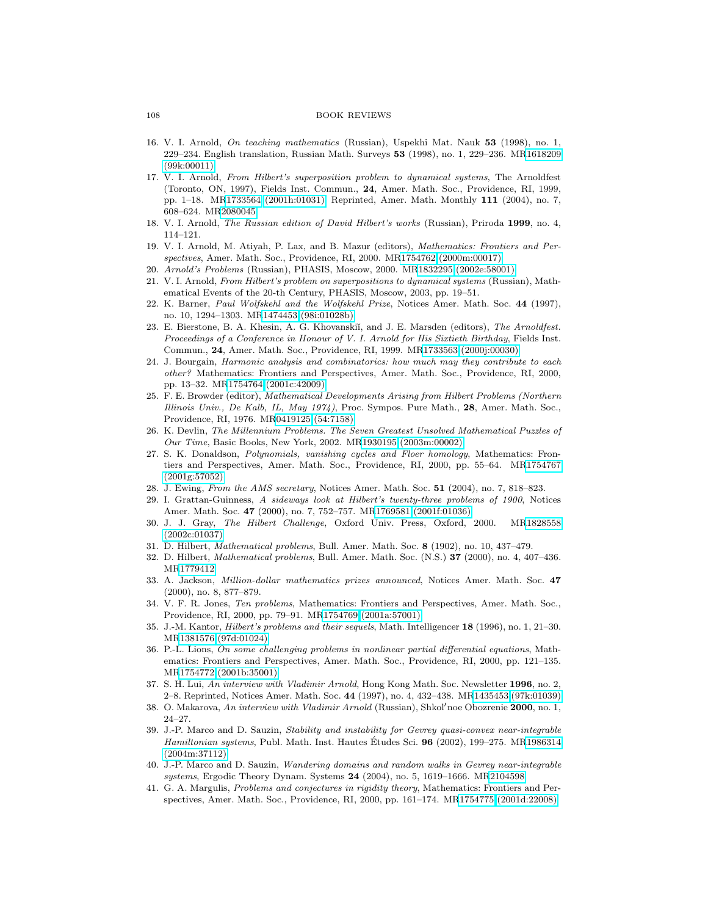- <span id="page-7-21"></span>16. V. I. Arnold, On teaching mathematics (Russian), Uspekhi Mat. Nauk **53** (1998), no. 1, 229–234. English translation, Russian Math. Surveys **53** (1998), no. 1, 229–236. M[R1618209](http://www.ams.org/mathscinet-getitem?mr=1618209) [\(99k:00011\)](http://www.ams.org/mathscinet-getitem?mr=1618209)
- <span id="page-7-22"></span>17. V. I. Arnold, From Hilbert's superposition problem to dynamical systems, The Arnoldfest (Toronto, ON, 1997), Fields Inst. Commun., **24**, Amer. Math. Soc., Providence, RI, 1999, pp. 1–18. M[R1733564 \(2001h:01031\).](http://www.ams.org/mathscinet-getitem?mr=1733564) Reprinted, Amer. Math. Monthly **111** (2004), no. 7, 608–624. M[R2080045](http://www.ams.org/mathscinet-getitem?mr=2080045)
- <span id="page-7-14"></span><span id="page-7-8"></span>18. V. I. Arnold, The Russian edition of David Hilbert's works (Russian), Priroda **1999**, no. 4, 114–121.
- 19. V. I. Arnold, M. Atiyah, P. Lax, and B. Mazur (editors), Mathematics: Frontiers and Perspectives, Amer. Math. Soc., Providence, RI, 2000. M[R1754762 \(2000m:00017\)](http://www.ams.org/mathscinet-getitem?mr=1754762)
- <span id="page-7-20"></span><span id="page-7-1"></span>20. Arnold's Problems (Russian), PHASIS, Moscow, 2000. M[R1832295 \(2002e:58001\)](http://www.ams.org/mathscinet-getitem?mr=1832295)
- 21. V. I. Arnold, From Hilbert's problem on superpositions to dynamical systems (Russian), Mathematical Events of the 20-th Century, PHASIS, Moscow, 2003, pp. 19–51.
- <span id="page-7-13"></span>22. K. Barner, Paul Wolfskehl and the Wolfskehl Prize, Notices Amer. Math. Soc. **44** (1997), no. 10, 1294–1303. M[R1474453 \(98i:01028b\)](http://www.ams.org/mathscinet-getitem?mr=1474453)
- <span id="page-7-10"></span>23. E. Bierstone, B. A. Khesin, A. G. Khovanskiĭ, and J. E. Marsden (editors), The Arnoldfest. Proceedings of a Conference in Honour of V. I. Arnold for His Sixtieth Birthday, Fields Inst. Commun., **24**, Amer. Math. Soc., Providence, RI, 1999. M[R1733563 \(2000j:00030\)](http://www.ams.org/mathscinet-getitem?mr=1733563)
- <span id="page-7-15"></span>24. J. Bourgain, Harmonic analysis and combinatorics: how much may they contribute to each other? Mathematics: Frontiers and Perspectives, Amer. Math. Soc., Providence, RI, 2000, pp. 13–32. M[R1754764 \(2001c:42009\)](http://www.ams.org/mathscinet-getitem?mr=1754764)
- <span id="page-7-4"></span>25. F. E. Browder (editor), Mathematical Developments Arising from Hilbert Problems (Northern Illinois Univ., De Kalb, IL, May 1974), Proc. Sympos. Pure Math., **28**, Amer. Math. Soc., Providence, RI, 1976. M[R0419125 \(54:7158\)](http://www.ams.org/mathscinet-getitem?mr=0419125)
- <span id="page-7-11"></span>26. K. Devlin, The Millennium Problems. The Seven Greatest Unsolved Mathematical Puzzles of Our Time, Basic Books, New York, 2002. M[R1930195 \(2003m:00002\)](http://www.ams.org/mathscinet-getitem?mr=1930195)
- <span id="page-7-16"></span>27. S. K. Donaldson, Polynomials, vanishing cycles and Floer homology, Mathematics: Frontiers and Perspectives, Amer. Math. Soc., Providence, RI, 2000, pp. 55–64. M[R1754767](http://www.ams.org/mathscinet-getitem?mr=1754767) [\(2001g:57052\)](http://www.ams.org/mathscinet-getitem?mr=1754767)
- <span id="page-7-9"></span><span id="page-7-0"></span>28. J. Ewing, From the AMS secretary, Notices Amer. Math. Soc. **51** (2004), no. 7, 818–823.
- 29. I. Grattan-Guinness, A sideways look at Hilbert's twenty-three problems of 1900, Notices Amer. Math. Soc. **47** (2000), no. 7, 752–757. M[R1769581 \(2001f:01036\)](http://www.ams.org/mathscinet-getitem?mr=1769581)
- <span id="page-7-5"></span>30. J. J. Gray, The Hilbert Challenge, Oxford Univ. Press, Oxford, 2000. M[R1828558](http://www.ams.org/mathscinet-getitem?mr=1828558) [\(2002c:01037\)](http://www.ams.org/mathscinet-getitem?mr=1828558)
- <span id="page-7-6"></span><span id="page-7-3"></span>31. D. Hilbert, Mathematical problems, Bull. Amer. Math. Soc. **8** (1902), no. 10, 437–479.
- 32. D. Hilbert, Mathematical problems, Bull. Amer. Math. Soc. (N.S.) **37** (2000), no. 4, 407–436. M[R1779412](http://www.ams.org/mathscinet-getitem?mr=1779412)
- <span id="page-7-12"></span>33. A. Jackson, Million-dollar mathematics prizes announced, Notices Amer. Math. Soc. **47** (2000), no. 8, 877–879.
- <span id="page-7-17"></span>34. V. F. R. Jones, Ten problems, Mathematics: Frontiers and Perspectives, Amer. Math. Soc., Providence, RI, 2000, pp. 79–91. M[R1754769 \(2001a:57001\)](http://www.ams.org/mathscinet-getitem?mr=1754769)
- <span id="page-7-2"></span>35. J.-M. Kantor, Hilbert's problems and their sequels, Math. Intelligencer **18** (1996), no. 1, 21–30. M[R1381576 \(97d:01024\)](http://www.ams.org/mathscinet-getitem?mr=1381576)
- <span id="page-7-18"></span>36. P.-L. Lions, On some challenging problems in nonlinear partial differential equations, Mathematics: Frontiers and Perspectives, Amer. Math. Soc., Providence, RI, 2000, pp. 121–135. M[R1754772 \(2001b:35001\)](http://www.ams.org/mathscinet-getitem?mr=1754772)
- <span id="page-7-23"></span><span id="page-7-7"></span>37. S. H. Lui, An interview with Vladimir Arnold, Hong Kong Math. Soc. Newsletter **1996**, no. 2, 2–8. Reprinted, Notices Amer. Math. Soc. **44** (1997), no. 4, 432–438. M[R1435453 \(97k:01039\)](http://www.ams.org/mathscinet-getitem?mr=1435453)
- 38. O. Makarova, An interview with Vladimir Arnold (Russian), Shkol'noe Obozrenie 2000, no. 1, 24–27.
- <span id="page-7-24"></span>39. J.-P. Marco and D. Sauzin, Stability and instability for Gevrey quasi-convex near-integrable Hamiltonian systems, Publ. Math. Inst. Hautes Études Sci. **96** (2002), 199–275. M[R1986314](http://www.ams.org/mathscinet-getitem?mr=1986314) [\(2004m:37112\)](http://www.ams.org/mathscinet-getitem?mr=1986314)
- <span id="page-7-25"></span>40. J.-P. Marco and D. Sauzin, Wandering domains and random walks in Gevrey near-integrable systems, Ergodic Theory Dynam. Systems **24** (2004), no. 5, 1619–1666. M[R2104598](http://www.ams.org/mathscinet-getitem?mr=2104598)
- <span id="page-7-19"></span>41. G. A. Margulis, Problems and conjectures in rigidity theory, Mathematics: Frontiers and Perspectives, Amer. Math. Soc., Providence, RI, 2000, pp. 161–174. M[R1754775 \(2001d:22008\)](http://www.ams.org/mathscinet-getitem?mr=1754775)